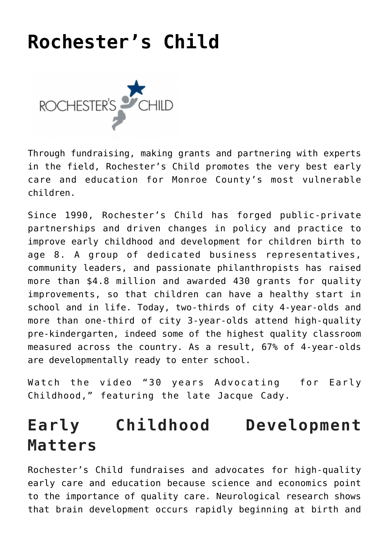# **[Rochester's Child](https://www.racf.org/collaborations/rochesters-child/)**



Through fundraising, making grants and partnering with experts in the field, Rochester's Child promotes the very best early care and education for Monroe County's most vulnerable children.

Since 1990, Rochester's Child has forged public-private partnerships and driven changes in policy and practice to improve early childhood and development for children birth to age 8. A group of dedicated business representatives, community leaders, and passionate philanthropists has raised more than \$4.8 million and awarded 430 grants for quality improvements, so that children can have a healthy start in school and in life. Today, two-thirds of city 4-year-olds and more than one-third of city 3-year-olds attend high-quality pre-kindergarten, indeed some of the highest quality classroom measured across the country. As a result, 67% of 4-year-olds are developmentally ready to enter school.

Watch the video ["30 years Advocating for Early](https://www.youtube.com/watch?v=Uv2_wyAVzC4&feature=youtu.be) [Childhood,"](https://www.youtube.com/watch?v=Uv2_wyAVzC4&feature=youtu.be) featuring the late Jacque Cady.

## **Early Childhood Development Matters**

Rochester's Child fundraises and advocates for high-quality early care and education because science and economics point to the importance of quality care. Neurological research shows that brain development occurs rapidly beginning at birth and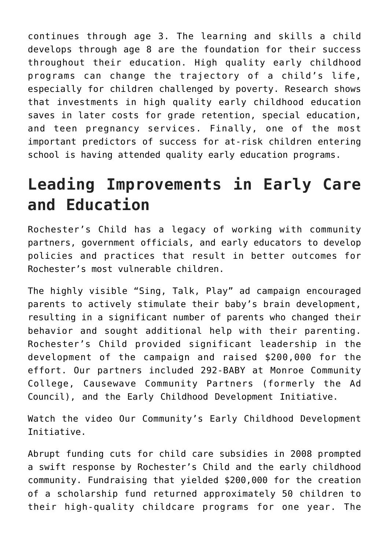continues through age 3. The learning and skills a child develops through age 8 are the foundation for their success throughout their education. High quality early childhood programs can change the trajectory of a child's life, especially for children challenged by poverty. Research shows that investments in high quality early childhood education saves in later costs for grade retention, special education, and teen pregnancy services. Finally, one of the most important predictors of success for at-risk children entering school is having attended quality early education programs.

# **Leading Improvements in Early Care and Education**

Rochester's Child has a legacy of working with community partners, government officials, and early educators to develop policies and practices that result in better outcomes for Rochester's most vulnerable children.

The highly visible "Sing, Talk, Play" ad campaign encouraged parents to actively stimulate their baby's brain development, resulting in a significant number of parents who changed their behavior and sought additional help with their parenting. Rochester's Child provided significant leadership in the development of the campaign and raised \$200,000 for the effort. Our partners included 292-BABY at Monroe Community College, Causewave Community Partners (formerly the Ad Council), and the Early Childhood Development Initiative.

Watch the video [Our Community's Early Childhood Development](https://www.youtube.com/watch?v=NIwKlt7lxuo) [Initiative.](https://www.youtube.com/watch?v=NIwKlt7lxuo)

Abrupt funding cuts for child care subsidies in 2008 prompted a swift response by Rochester's Child and the early childhood community. Fundraising that yielded \$200,000 for the creation of a scholarship fund returned approximately 50 children to their high-quality childcare programs for one year. The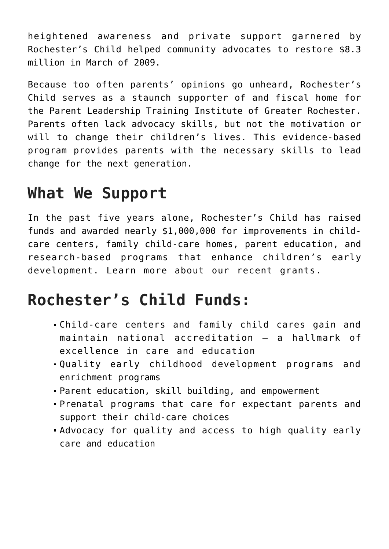heightened awareness and private support garnered by Rochester's Child helped community advocates to restore \$8.3 million in March of 2009.

Because too often parents' opinions go unheard, Rochester's Child serves as a staunch supporter of and fiscal home for the [Parent Leadership Training Institute of Greater Rochester.](http://www.greaterrochesterplti.org/) Parents often lack advocacy skills, but not the motivation or will to change their children's lives. This evidence-based program provides parents with the necessary skills to lead change for the next generation.

#### **What We Support**

In the past five years alone, Rochester's Child has raised funds and awarded nearly \$1,000,000 for improvements in childcare centers, family child-care homes, parent education, and research-based programs that enhance children's early development. Learn more about our [recent grants](https://www.racf.org/wp-content/uploads/2020/01/Rochesters-Child-Grant-List.pdf).

### **Rochester's Child Funds:**

- Child-care centers and family child cares gain and maintain national accreditation — a hallmark of excellence in care and education
- Quality early childhood development programs and enrichment programs
- Parent education, skill building, and empowerment
- Prenatal programs that care for expectant parents and support their child-care choices
- Advocacy for quality and access to high quality early care and education